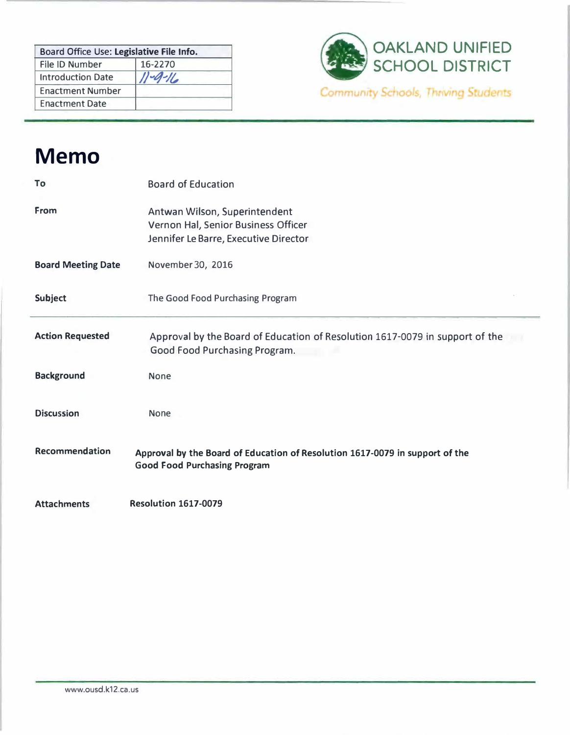| Board Office Use: Legislative File Info. |               |
|------------------------------------------|---------------|
| File ID Number                           | 16-2270       |
| <b>Introduction Date</b>                 | $11 - 9 - 16$ |
| <b>Enactment Number</b>                  |               |
| <b>Enactment Date</b>                    |               |



## **Memo**

| To                        | <b>Board of Education</b>                                                                                           |
|---------------------------|---------------------------------------------------------------------------------------------------------------------|
| From                      | Antwan Wilson, Superintendent<br>Vernon Hal, Senior Business Officer<br>Jennifer Le Barre, Executive Director       |
| <b>Board Meeting Date</b> | November 30, 2016                                                                                                   |
| <b>Subject</b>            | The Good Food Purchasing Program                                                                                    |
| <b>Action Requested</b>   | Approval by the Board of Education of Resolution 1617-0079 in support of the<br>Good Food Purchasing Program.       |
| <b>Background</b>         | <b>None</b>                                                                                                         |
| <b>Discussion</b>         | <b>None</b>                                                                                                         |
| Recommendation            | Approval by the Board of Education of Resolution 1617-0079 in support of the<br><b>Good Food Purchasing Program</b> |
| <b>Attachments</b>        | <b>Resolution 1617-0079</b>                                                                                         |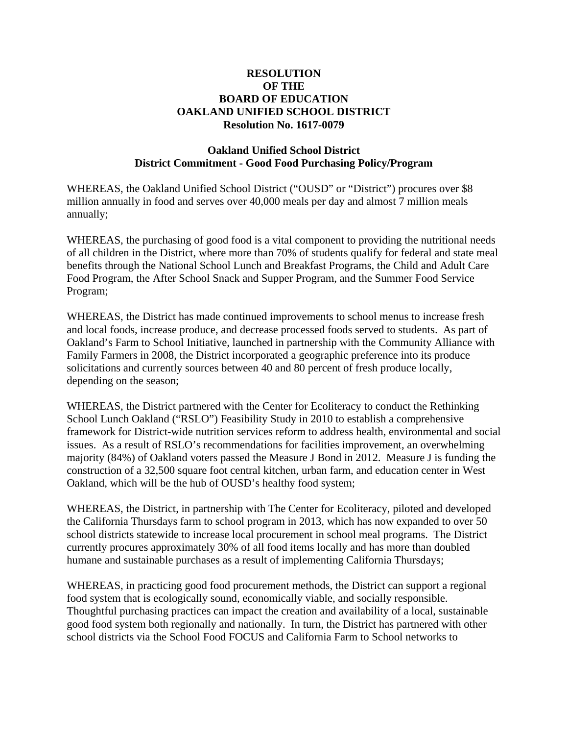## **RESOLUTION OF THE BOARD OF EDUCATION OAKLAND UNIFIED SCHOOL DISTRICT Resolution No. 1617-0079**

## **Oakland Unified School District District Commitment - Good Food Purchasing Policy/Program**

WHEREAS, the Oakland Unified School District ("OUSD" or "District") procures over \$8 million annually in food and serves over 40,000 meals per day and almost 7 million meals annually;

WHEREAS, the purchasing of good food is a vital component to providing the nutritional needs of all children in the District, where more than 70% of students qualify for federal and state meal benefits through the National School Lunch and Breakfast Programs, the Child and Adult Care Food Program, the After School Snack and Supper Program, and the Summer Food Service Program;

WHEREAS, the District has made continued improvements to school menus to increase fresh and local foods, increase produce, and decrease processed foods served to students. As part of Oakland's Farm to School Initiative, launched in partnership with the Community Alliance with Family Farmers in 2008, the District incorporated a geographic preference into its produce solicitations and currently sources between 40 and 80 percent of fresh produce locally, depending on the season;

WHEREAS, the District partnered with the Center for Ecoliteracy to conduct the Rethinking School Lunch Oakland ("RSLO") Feasibility Study in 2010 to establish a comprehensive framework for District-wide nutrition services reform to address health, environmental and social issues. As a result of RSLO's recommendations for facilities improvement, an overwhelming majority (84%) of Oakland voters passed the Measure J Bond in 2012. Measure J is funding the construction of a 32,500 square foot central kitchen, urban farm, and education center in West Oakland, which will be the hub of OUSD's healthy food system;

WHEREAS, the District, in partnership with The Center for Ecoliteracy, piloted and developed the California Thursdays farm to school program in 2013, which has now expanded to over 50 school districts statewide to increase local procurement in school meal programs. The District currently procures approximately 30% of all food items locally and has more than doubled humane and sustainable purchases as a result of implementing California Thursdays;

WHEREAS, in practicing good food procurement methods, the District can support a regional food system that is ecologically sound, economically viable, and socially responsible. Thoughtful purchasing practices can impact the creation and availability of a local, sustainable good food system both regionally and nationally. In turn, the District has partnered with other school districts via the School Food FOCUS and California Farm to School networks to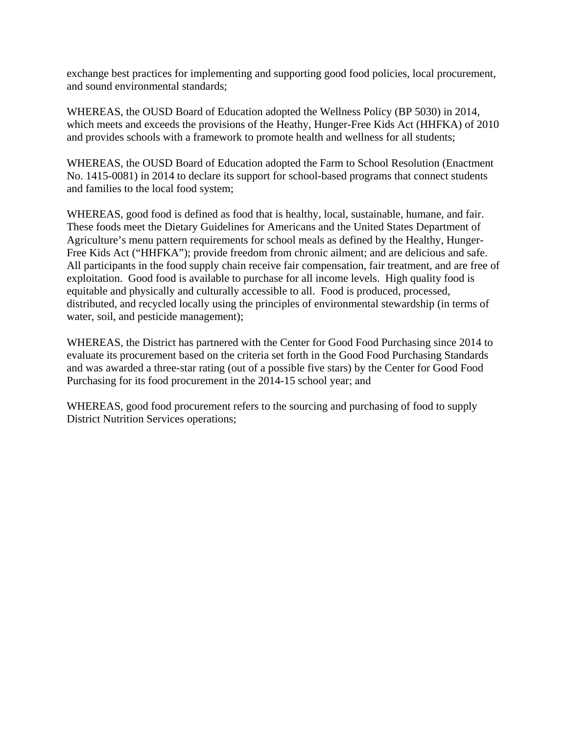exchange best practices for implementing and supporting good food policies, local procurement, and sound environmental standards;

WHEREAS, the OUSD Board of Education adopted the Wellness Policy (BP 5030) in 2014, which meets and exceeds the provisions of the Heathy, Hunger-Free Kids Act (HHFKA) of 2010 and provides schools with a framework to promote health and wellness for all students;

WHEREAS, the OUSD Board of Education adopted the Farm to School Resolution (Enactment No. 1415-0081) in 2014 to declare its support for school-based programs that connect students and families to the local food system;

WHEREAS, good food is defined as food that is healthy, local, sustainable, humane, and fair. These foods meet the Dietary Guidelines for Americans and the United States Department of Agriculture's menu pattern requirements for school meals as defined by the Healthy, Hunger-Free Kids Act ("HHFKA"); provide freedom from chronic ailment; and are delicious and safe. All participants in the food supply chain receive fair compensation, fair treatment, and are free of exploitation. Good food is available to purchase for all income levels. High quality food is equitable and physically and culturally accessible to all. Food is produced, processed, distributed, and recycled locally using the principles of environmental stewardship (in terms of water, soil, and pesticide management);

WHEREAS, the District has partnered with the Center for Good Food Purchasing since 2014 to evaluate its procurement based on the criteria set forth in the Good Food Purchasing Standards and was awarded a three-star rating (out of a possible five stars) by the Center for Good Food Purchasing for its food procurement in the 2014-15 school year; and

WHEREAS, good food procurement refers to the sourcing and purchasing of food to supply District Nutrition Services operations;